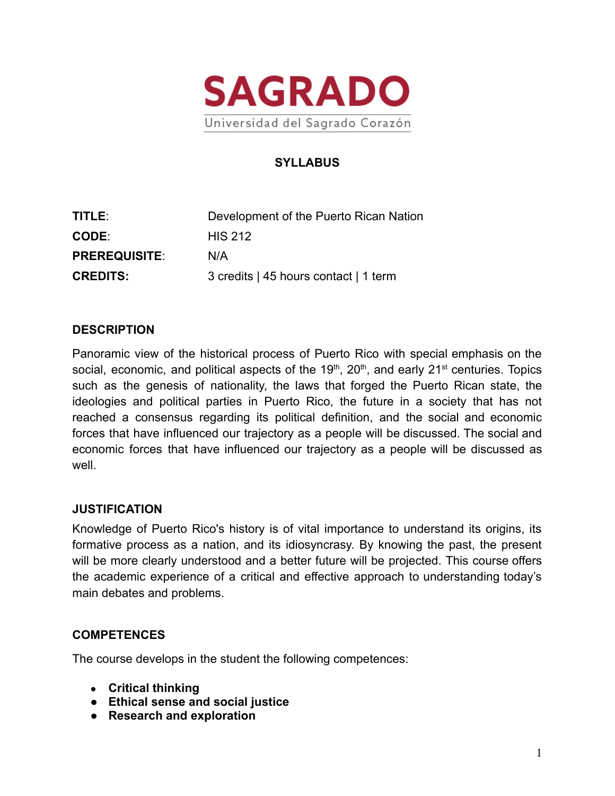

# **SYLLABUS**

| TITLE:               | Development of the Puerto Rican Nation |
|----------------------|----------------------------------------|
| <b>CODE:</b>         | <b>HIS 212</b>                         |
| <b>PREREQUISITE:</b> | N/A                                    |
| <b>CREDITS:</b>      | 3 credits   45 hours contact   1 term  |

#### **DESCRIPTION**

Panoramic view of the historical process of Puerto Rico with special emphasis on the social, economic, and political aspects of the 19<sup>th</sup>, 20<sup>th</sup>, and early 21<sup>st</sup> centuries. Topics such as the genesis of nationality, the laws that forged the Puerto Rican state, the ideologies and political parties in Puerto Rico, the future in a society that has not reached a consensus regarding its political definition, and the social and economic forces that have influenced our trajectory as a people will be discussed. The social and economic forces that have influenced our trajectory as a people will be discussed as well.

#### **JUSTIFICATION**

Knowledge of Puerto Rico's history is of vital importance to understand its origins, its formative process as a nation, and its idiosyncrasy. By knowing the past, the present will be more clearly understood and a better future will be projected. This course offers the academic experience of a critical and effective approach to understanding today's main debates and problems.

#### **COMPETENCES**

The course develops in the student the following competences:

- **Critical thinking**
- **Ethical sense and social justice**
- **Research and exploration**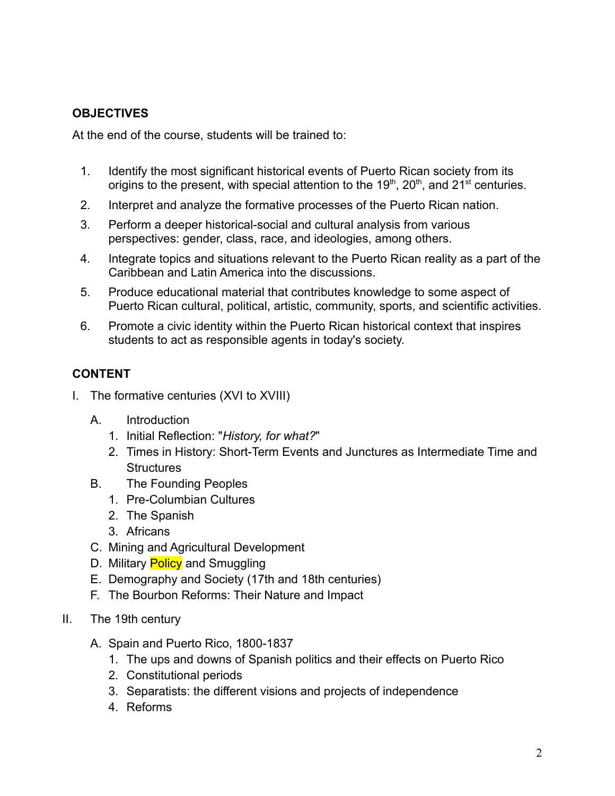## **OBJECTIVES**

At the end of the course, students will be trained to:

- 1. Identify the most significant historical events of Puerto Rican society from its origins to the present, with special attention to the 19<sup>th</sup>, 20<sup>th</sup>, and 21<sup>st</sup> centuries.
- 2. Interpret and analyze the formative processes of the Puerto Rican nation.
- 3. Perform a deeper historical-social and cultural analysis from various perspectives: gender, class, race, and ideologies, among others.
- 4. Integrate topics and situations relevant to the Puerto Rican reality as a part of the Caribbean and Latin America into the discussions.
- 5. Produce educational material that contributes knowledge to some aspect of Puerto Rican cultural, political, artistic, community, sports, and scientific activities.
- 6. Promote a civic identity within the Puerto Rican historical context that inspires students to act as responsible agents in today's society.

# **CONTENT**

- I. The formative centuries (XVI to XVIII)
	- A. Introduction
		- 1. Initial Reflection: "*History, for what?*"
		- 2. Times in History: Short-Term Events and Junctures as Intermediate Time and **Structures**
	- B. The Founding Peoples
		- 1. Pre-Columbian Cultures
		- 2. The Spanish
		- 3. Africans
	- C. Mining and Agricultural Development
	- D. Military **Policy** and Smuggling
	- E. Demography and Society (17th and 18th centuries)
	- F. The Bourbon Reforms: Their Nature and Impact
- II. The 19th century
	- A. Spain and Puerto Rico, 1800-1837
		- 1. The ups and downs of Spanish politics and their effects on Puerto Rico
		- 2. Constitutional periods
		- 3. Separatists: the different visions and projects of independence
		- 4. Reforms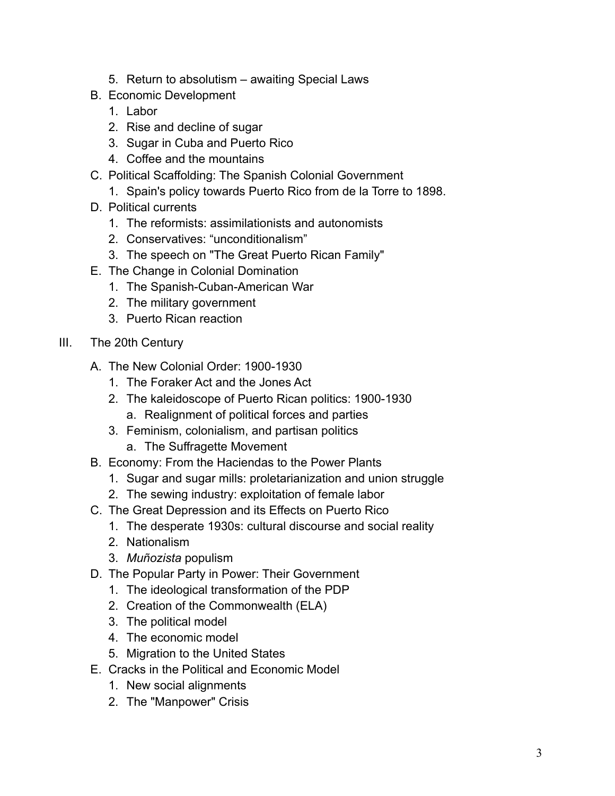- 5. Return to absolutism awaiting Special Laws
- B. Economic Development
	- 1. Labor
	- 2. Rise and decline of sugar
	- 3. Sugar in Cuba and Puerto Rico
	- 4. Coffee and the mountains
- C. Political Scaffolding: The Spanish Colonial Government
	- 1. Spain's policy towards Puerto Rico from de la Torre to 1898.
- D. Political currents
	- 1. The reformists: assimilationists and autonomists
	- 2. Conservatives: "unconditionalism"
	- 3. The speech on "The Great Puerto Rican Family"
- E. The Change in Colonial Domination
	- 1. The Spanish-Cuban-American War
	- 2. The military government
	- 3. Puerto Rican reaction
- III. The 20th Century
	- A. The New Colonial Order: 1900-1930
		- 1. The Foraker Act and the Jones Act
		- 2. The kaleidoscope of Puerto Rican politics: 1900-1930
			- a. Realignment of political forces and parties
		- 3. Feminism, colonialism, and partisan politics
			- a. The Suffragette Movement
	- B. Economy: From the Haciendas to the Power Plants
		- 1. Sugar and sugar mills: proletarianization and union struggle
		- 2. The sewing industry: exploitation of female labor
	- C. The Great Depression and its Effects on Puerto Rico
		- 1. The desperate 1930s: cultural discourse and social reality
		- 2. Nationalism
		- 3. *Muñozista* populism
	- D. The Popular Party in Power: Their Government
		- 1. The ideological transformation of the PDP
		- 2. Creation of the Commonwealth (ELA)
		- 3. The political model
		- 4. The economic model
		- 5. Migration to the United States
	- E. Cracks in the Political and Economic Model
		- 1. New social alignments
		- 2. The "Manpower" Crisis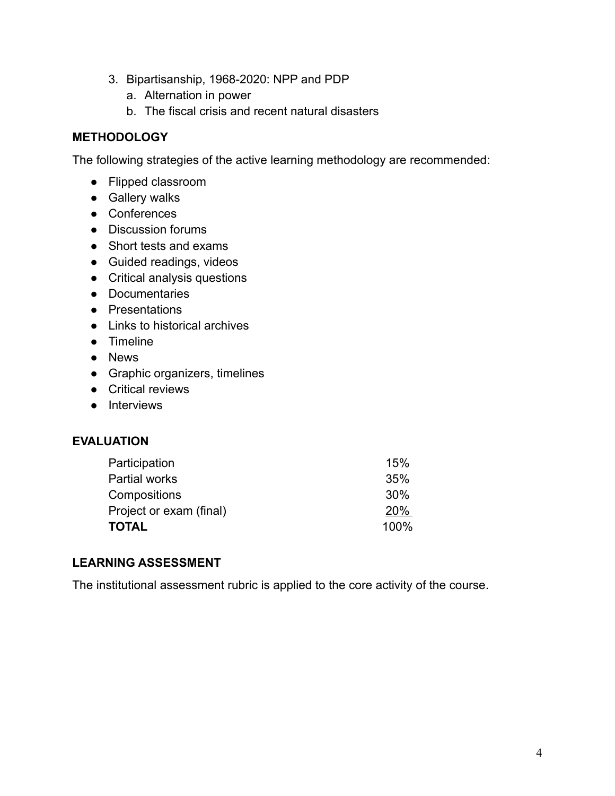- 3. Bipartisanship, 1968-2020: NPP and PDP
	- a. Alternation in power
	- b. The fiscal crisis and recent natural disasters

## **METHODOLOGY**

The following strategies of the active learning methodology are recommended:

- Flipped classroom
- Gallery walks
- Conferences
- Discussion forums
- Short tests and exams
- Guided readings, videos
- Critical analysis questions
- Documentaries
- Presentations
- Links to historical archives
- Timeline
- News
- Graphic organizers, timelines
- Critical reviews
- Interviews

## **EVALUATION**

| 15%  |
|------|
| 35%  |
| 30%  |
| 20%  |
| 100% |
|      |

## **LEARNING ASSESSMENT**

The institutional assessment rubric is applied to the core activity of the course.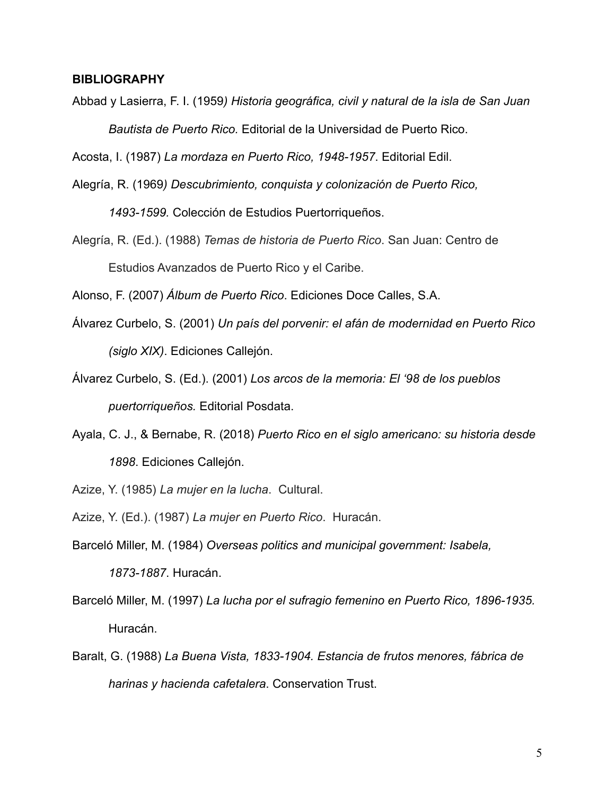#### **BIBLIOGRAPHY**

Abbad y Lasierra, F. I. (1959*) Historia geográfica, civil y natural de la isla de San Juan Bautista de Puerto Rico.* Editorial de la Universidad de Puerto Rico.

Acosta, I. (1987) *La mordaza en Puerto Rico, 1948-1957*. Editorial Edil.

Alegría, R. (1969*) Descubrimiento, conquista y colonización de Puerto Rico,*

*1493-1599.* Colección de Estudios Puertorriqueños.

Alegría, R. (Ed.). (1988) *Temas de historia de Puerto Rico*. San Juan: Centro de Estudios Avanzados de Puerto Rico y el Caribe.

Alonso, F. (2007) *Álbum de Puerto Rico*. Ediciones Doce Calles, S.A.

- Álvarez Curbelo, S. (2001) *Un país del porvenir: el afán de modernidad en Puerto Rico (siglo XIX)*. Ediciones Callejón.
- Álvarez Curbelo, S. (Ed.). (2001) *Los arcos de la memoria: El '98 de los pueblos puertorriqueños.* Editorial Posdata.
- Ayala, C. J., & Bernabe, R. (2018) *Puerto Rico en el siglo americano: su historia desde 1898*. Ediciones Callejón.

Azize, Y. (1985) *La mujer en la lucha*. Cultural.

Azize, Y. (Ed.). (1987) *La mujer en Puerto Rico*. Huracán.

- Barceló Miller, M. (1984) *Overseas politics and municipal government: Isabela, 1873-1887*. Huracán.
- Barceló Miller, M. (1997) *La lucha por el sufragio femenino en Puerto Rico, 1896-1935.* Huracán.
- Baralt, G. (1988) *La Buena Vista, 1833-1904. Estancia de frutos menores, fábrica de harinas y hacienda cafetalera*. Conservation Trust.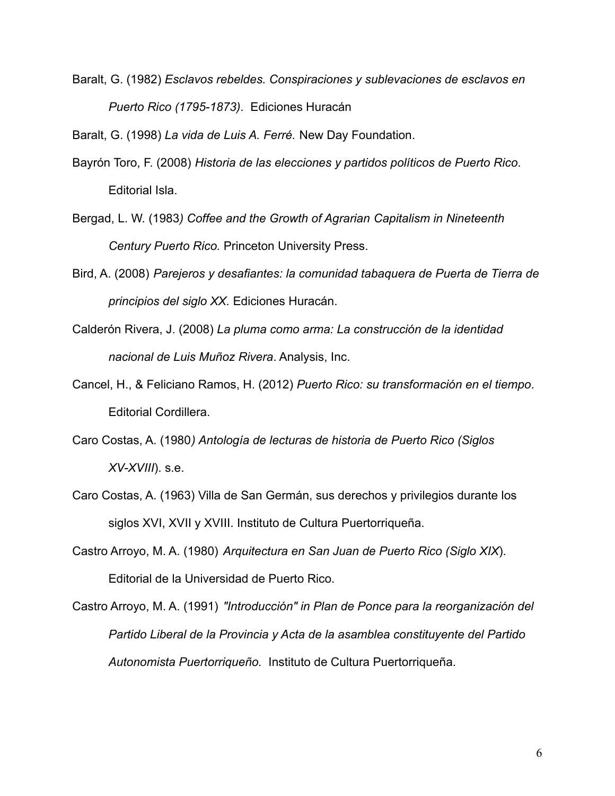Baralt, G. (1982) *Esclavos rebeldes. Conspiraciones y sublevaciones de esclavos en Puerto Rico (1795-1873)*. Ediciones Huracán

Baralt, G. (1998) *La vida de Luis A. Ferré.* New Day Foundation.

- Bayrón Toro, F. (2008) *Historia de las elecciones y partidos políticos de Puerto Rico*. Editorial Isla.
- Bergad, L. W. (1983*) Coffee and the Growth of Agrarian Capitalism in Nineteenth Century Puerto Rico.* Princeton University Press.
- Bird, A. (2008) *Parejeros y desafiantes: la comunidad tabaquera de Puerta de Tierra de principios del siglo XX.* Ediciones Huracán.
- Calderón Rivera, J. (2008) *La pluma como arma: La construcción de la identidad nacional de Luis Muñoz Rivera*. Analysis, Inc.
- Cancel, H., & Feliciano Ramos, H. (2012) *Puerto Rico: su transformación en el tiempo*. Editorial Cordillera.
- Caro Costas, A. (1980*) Antología de lecturas de historia de Puerto Rico (Siglos XV-XVIII*). s.e.
- Caro Costas, A. (1963) Villa de San Germán, sus derechos y privilegios durante los siglos XVI, XVII y XVIII. Instituto de Cultura Puertorriqueña.
- Castro Arroyo, M. A. (1980) *Arquitectura en San Juan de Puerto Rico (Siglo XIX*). Editorial de la Universidad de Puerto Rico.

Castro Arroyo, M. A. (1991) *"Introducción" in Plan de Ponce para la reorganización del Partido Liberal de la Provincia y Acta de la asamblea constituyente del Partido Autonomista Puertorriqueño.* Instituto de Cultura Puertorriqueña.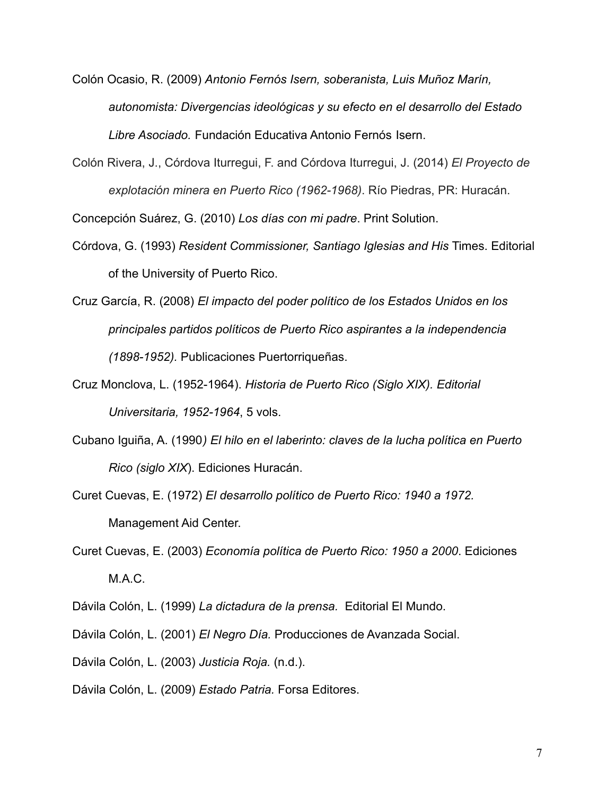- Colón Ocasio, R. (2009) *Antonio Fernós Isern, soberanista, Luis Muñoz Marín, autonomista: Divergencias ideológicas y su efecto en el desarrollo del Estado Libre Asociado.* Fundación Educativa Antonio Fernós Isern.
- Colón Rivera, J., Córdova Iturregui, F. and Córdova Iturregui, J. (2014) *El Proyecto de explotación minera en Puerto Rico (1962-1968)*. Río Piedras, PR: Huracán.

Concepción Suárez, G. (2010) *Los días con mi padre*. Print Solution.

- Córdova, G. (1993) *Resident Commissioner, Santiago Iglesias and His* Times. Editorial of the University of Puerto Rico.
- Cruz García, R. (2008) *El impacto del poder político de los Estados Unidos en los principales partidos políticos de Puerto Rico aspirantes a la independencia (1898-1952).* Publicaciones Puertorriqueñas.
- Cruz Monclova, L. (1952-1964). *Historia de Puerto Rico (Siglo XIX). Editorial Universitaria, 1952-1964*, 5 vols.
- Cubano Iguiña, A. (1990*) El hilo en el laberinto: claves de la lucha política en Puerto Rico (siglo XIX*). Ediciones Huracán.
- Curet Cuevas, E. (1972) *El desarrollo político de Puerto Rico: 1940 a 1972.* Management Aid Center.
- Curet Cuevas, E. (2003) *Economía política de Puerto Rico: 1950 a 2000*. Ediciones M.A.C.
- Dávila Colón, L. (1999) *La dictadura de la prensa.* Editorial El Mundo.
- Dávila Colón, L. (2001) *El Negro Día.* Producciones de Avanzada Social.
- Dávila Colón, L. (2003) *Justicia Roja.* (n.d.).
- Dávila Colón, L. (2009) *Estado Patria.* Forsa Editores.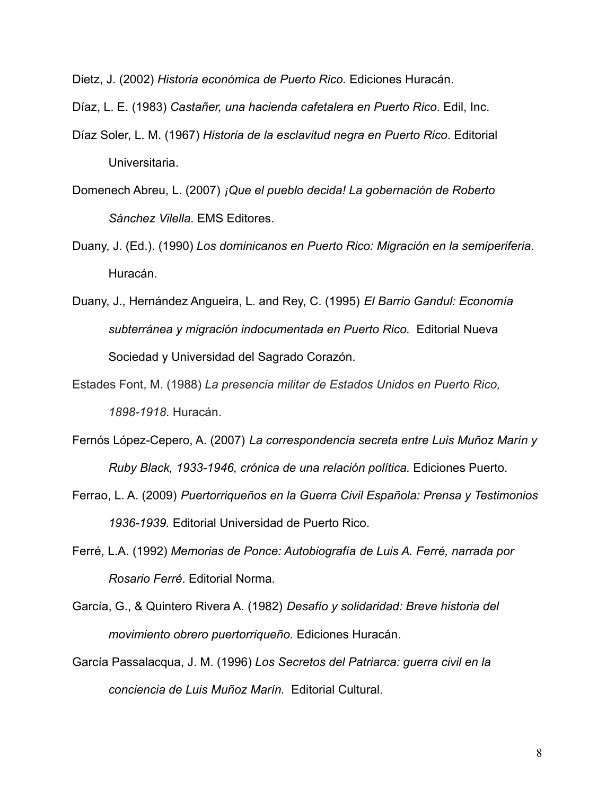Dietz, J. (2002) *Historia económica de Puerto Rico.* Ediciones Huracán.

Díaz, L. E. (1983) *Castañer, una hacienda cafetalera en Puerto Rico*. Edil, Inc.

- Díaz Soler, L. M. (1967) *Historia de la esclavitud negra en Puerto Rico*. Editorial Universitaria.
- Domenech Abreu, L. (2007) *¡Que el pueblo decida! La gobernación de Roberto Sánchez Vilella.* EMS Editores.
- Duany, J. (Ed.). (1990) *Los dominicanos en Puerto Rico: Migración en la semiperiferia*. Huracán.
- Duany, J., Hernández Angueira, L. and Rey, C. (1995) *El Barrio Gandul: Economía subterránea y migración indocumentada en Puerto Rico.* Editorial Nueva Sociedad y Universidad del Sagrado Corazón.
- Estades Font, M. (1988) *La presencia militar de Estados Unidos en Puerto Rico, 1898-1918*. Huracán.
- Fernós López-Cepero, A. (2007) *La correspondencia secreta entre Luis Muñoz Marín y Ruby Black, 1933-1946, crónica de una relación política.* Ediciones Puerto.
- Ferrao, L. A. (2009) *Puertorriqueños en la Guerra Civil Española: Prensa y Testimonios 1936-1939.* Editorial Universidad de Puerto Rico.
- Ferré, L.A. (1992) *Memorias de Ponce: Autobiografía de Luis A. Ferré, narrada por Rosario Ferré*. Editorial Norma.
- García, G., & Quintero Rivera A. (1982) *Desafío y solidaridad: Breve historia del movimiento obrero puertorriqueño.* Ediciones Huracán.
- García Passalacqua, J. M. (1996) *Los Secretos del Patriarca: guerra civil en la conciencia de Luis Muñoz Marín.* Editorial Cultural.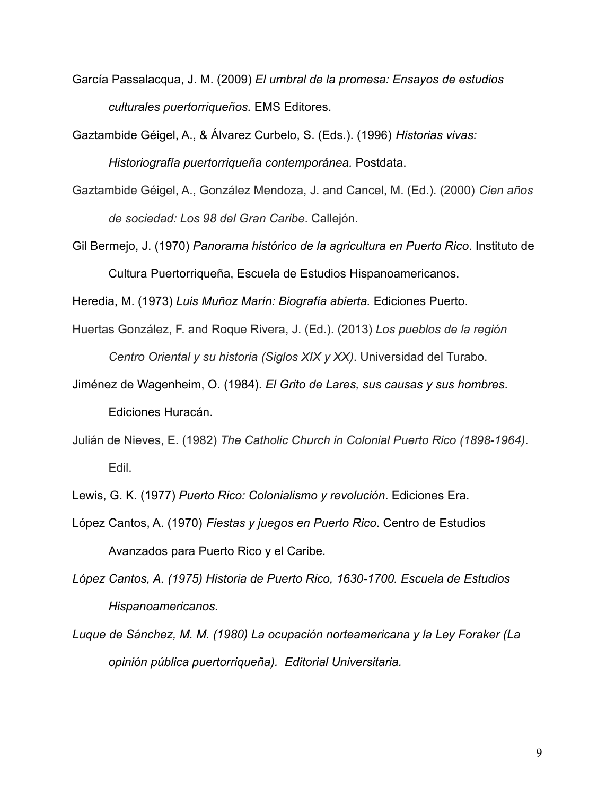- García Passalacqua, J. M. (2009) *El umbral de la promesa: Ensayos de estudios culturales puertorriqueños.* EMS Editores.
- Gaztambide Géigel, A., & Álvarez Curbelo, S. (Eds.). (1996) *Historias vivas: Historiografía puertorriqueña contemporánea.* Postdata.
- Gaztambide Géigel, A., González Mendoza, J. and Cancel, M. (Ed.). (2000) *Cien años de sociedad: Los 98 del Gran Caribe*. Callejón.
- Gil Bermejo, J. (1970) *Panorama histórico de la agricultura en Puerto Rico*. Instituto de Cultura Puertorriqueña, Escuela de Estudios Hispanoamericanos.

Heredia, M. (1973) *Luis Muñoz Marín: Biografía abierta.* Ediciones Puerto.

- Huertas González, F. and Roque Rivera, J. (Ed.). (2013) *Los pueblos de la región Centro Oriental y su historia (Siglos XIX y XX)*. Universidad del Turabo.
- Jiménez de Wagenheim, O. (1984). *El Grito de Lares, sus causas y sus hombres*. Ediciones Huracán.
- Julián de Nieves, E. (1982) *The Catholic Church in Colonial Puerto Rico (1898-1964)*. Edil.

Lewis, G. K. (1977) *Puerto Rico: Colonialismo y revolución*. Ediciones Era.

López Cantos, A. (1970) *Fiestas y juegos en Puerto Rico*. Centro de Estudios Avanzados para Puerto Rico y el Caribe*.*

*López Cantos, A. (1975) Historia de Puerto Rico, 1630-1700. Escuela de Estudios Hispanoamericanos.*

*Luque de Sánchez, M. M. (1980) La ocupación norteamericana y la Ley Foraker (La opinión pública puertorriqueña). Editorial Universitaria.*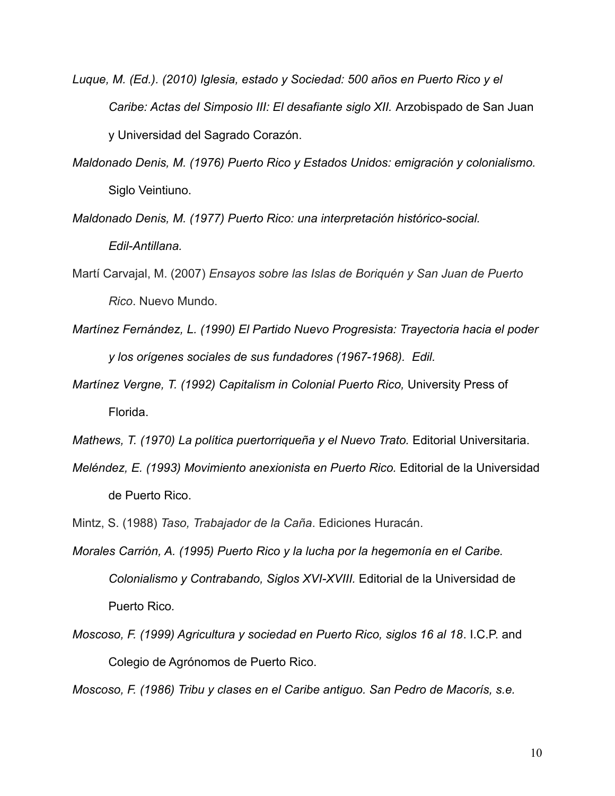- *Luque, M. (Ed.). (2010) Iglesia, estado y Sociedad: 500 años en Puerto Rico y el Caribe: Actas del Simposio III: El desafiante siglo XII.* Arzobispado de San Juan y Universidad del Sagrado Corazón.
- *Maldonado Denis, M. (1976) Puerto Rico y Estados Unidos: emigración y colonialismo.* Siglo Veintiuno.
- *Maldonado Denis, M. (1977) Puerto Rico: una interpretación histórico-social. Edil-Antillana.*
- Martí Carvajal, M. (2007) *Ensayos sobre las Islas de Boriquén y San Juan de Puerto Rico*. Nuevo Mundo.
- *Martínez Fernández, L. (1990) El Partido Nuevo Progresista: Trayectoria hacia el poder y los orígenes sociales de sus fundadores (1967-1968). Edil.*
- *Martínez Vergne, T. (1992) Capitalism in Colonial Puerto Rico,* University Press of Florida.
- *Mathews, T. (1970) La política puertorriqueña y el Nuevo Trato.* Editorial Universitaria.
- *Meléndez, E. (1993) Movimiento anexionista en Puerto Rico.* Editorial de la Universidad de Puerto Rico.
- Mintz, S. (1988) *Taso, Trabajador de la Caña*. Ediciones Huracán.
- *Morales Carrión, A. (1995) Puerto Rico y la lucha por la hegemonía en el Caribe. Colonialismo y Contrabando, Siglos XVI-XVIII.* Editorial de la Universidad de Puerto Rico*.*
- *Moscoso, F. (1999) Agricultura y sociedad en Puerto Rico, siglos 16 al 18*. I.C.P. and Colegio de Agrónomos de Puerto Rico.

*Moscoso, F. (1986) Tribu y clases en el Caribe antiguo. San Pedro de Macorís, s.e.*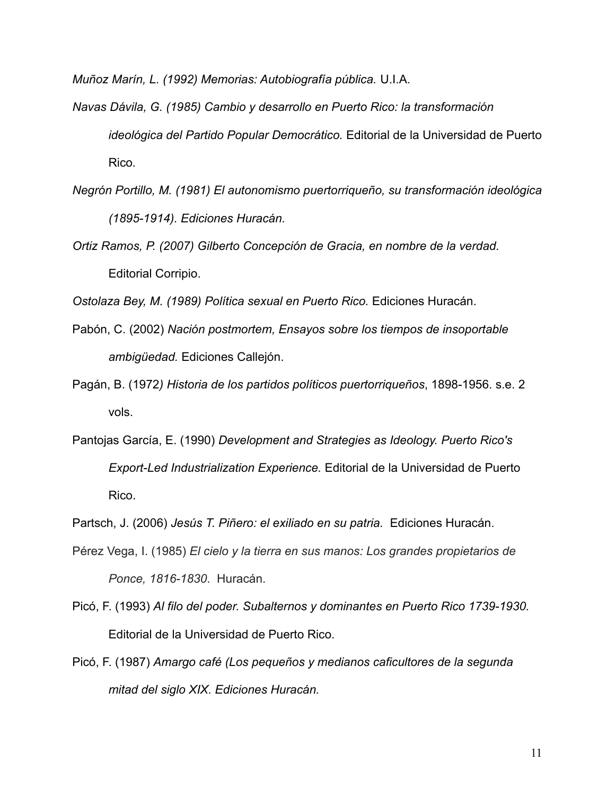*Muñoz Marín, L. (1992) Memorias: Autobiografía pública.* U.I.A.

- *Navas Dávila, G. (1985) Cambio y desarrollo en Puerto Rico: la transformación ideológica del Partido Popular Democrático.* Editorial de la Universidad de Puerto Rico*.*
- *Negrón Portillo, M. (1981) El autonomismo puertorriqueño, su transformación ideológica (1895-1914). Ediciones Huracán.*
- *Ortiz Ramos, P. (2007) Gilberto Concepción de Gracia, en nombre de la verdad.* Editorial Corripio.

*Ostolaza Bey, M. (1989) Política sexual en Puerto Rico.* Ediciones Huracán.

- Pabón, C. (2002) *Nación postmortem, Ensayos sobre los tiempos de insoportable ambigüedad.* Ediciones Callejón.
- Pagán, B. (1972*) Historia de los partidos políticos puertorriqueños*, 1898-1956. s.e. 2 vols.
- Pantojas García, E. (1990) *Development and Strategies as Ideology. Puerto Rico's Export-Led Industrialization Experience.* Editorial de la Universidad de Puerto Rico.

Partsch, J. (2006) *Jesús T. Piñero: el exiliado en su patria.* Ediciones Huracán.

- Pérez Vega, I. (1985) *El cielo y la tierra en sus manos: Los grandes propietarios de Ponce, 1816-1830*. Huracán.
- Picó, F. (1993) *Al filo del poder. Subalternos y dominantes en Puerto Rico 1739-1930.* Editorial de la Universidad de Puerto Rico.
- Picó, F. (1987) *Amargo café (Los pequeños y medianos caficultores de la segunda mitad del siglo XIX. Ediciones Huracán.*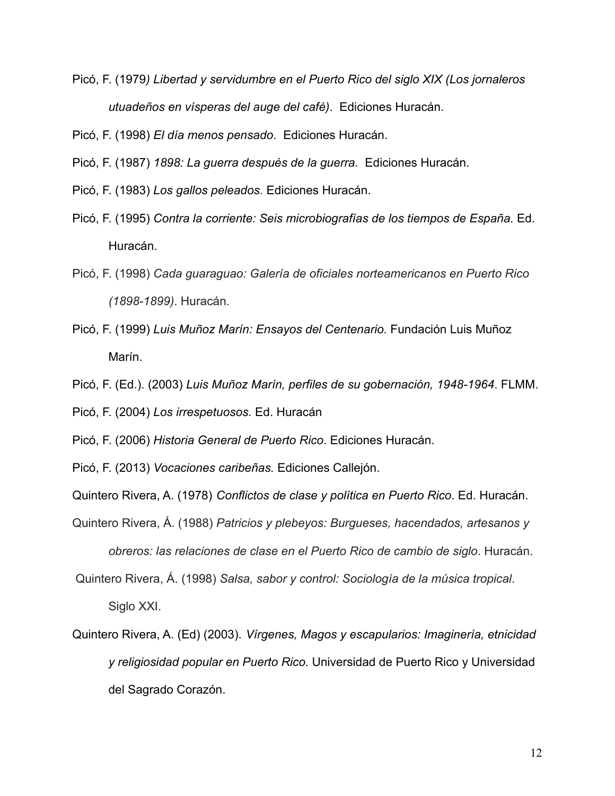Picó, F. (1979*) Libertad y servidumbre en el Puerto Rico del siglo XIX (Los jornaleros utuadeños en vísperas del auge del café)*. Ediciones Huracán.

Picó, F. (1998) *El día menos pensado*. Ediciones Huracán.

Picó, F. (1987) *1898: La guerra después de la guerra.* Ediciones Huracán.

- Picó, F. (1983) *Los gallos peleados.* Ediciones Huracán.
- Picó, F. (1995) *Contra la corriente: Seis microbiografías de los tiempos de España.* Ed. Huracán.
- Picó, F. (1998) *Cada guaraguao: Galería de oficiales norteamericanos en Puerto Rico (1898-1899)*. Huracán.
- Picó, F. (1999) *Luis Muñoz Marín: Ensayos del Centenario.* Fundación Luis Muñoz Marín.
- Picó, F. (Ed.). (2003) *Luis Muñoz Marín, perfiles de su gobernación, 1948-1964*. FLMM.

Picó, F. (2004) *Los irrespetuosos.* Ed. Huracán

Picó, F. (2006) *Historia General de Puerto Rico*. Ediciones Huracán.

Picó, F. (2013) *Vocaciones caribeñas.* Ediciones Callejón.

Quintero Rivera, A. (1978) *Conflictos de clase y política en Puerto Rico*. Ed. Huracán.

- Quintero Rivera, Á. (1988) *Patricios y plebeyos: Burgueses, hacendados, artesanos y obreros: las relaciones de clase en el Puerto Rico de cambio de siglo*. Huracán.
- Quintero Rivera, Á. (1998) *Salsa, sabor y control: Sociología de la música tropical*. Siglo XXI.
- Quintero Rivera, A. (Ed) (2003). *Vírgenes, Magos y escapularios: Imaginería, etnicidad y religiosidad popular en Puerto Rico.* Universidad de Puerto Rico y Universidad del Sagrado Corazón.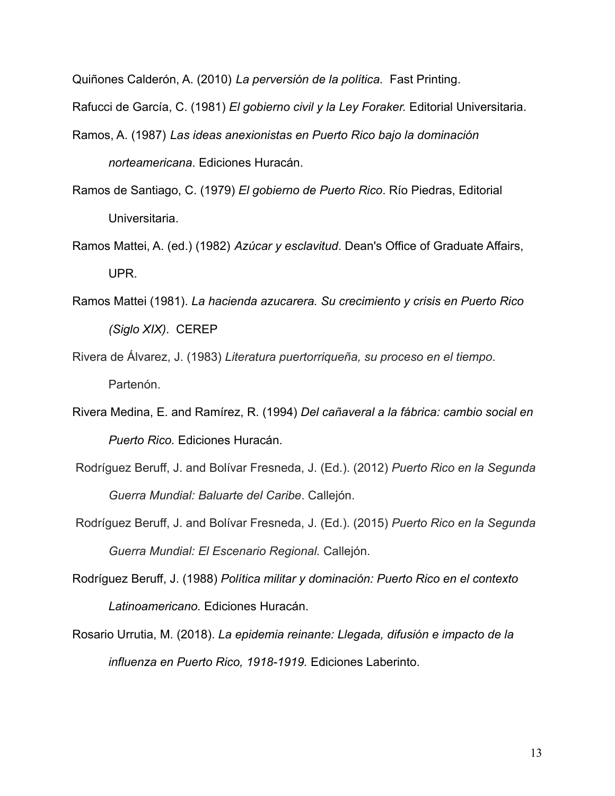Quiñones Calderón, A. (2010) *La perversión de la política.* Fast Printing.

Rafucci de García, C. (1981) *El gobierno civil y la Ley Foraker.* Editorial Universitaria.

- Ramos, A. (1987) *Las ideas anexionistas en Puerto Rico bajo la dominación norteamericana*. Ediciones Huracán.
- Ramos de Santiago, C. (1979) *El gobierno de Puerto Rico*. Río Piedras, Editorial Universitaria.
- Ramos Mattei, A. (ed.) (1982) *Azúcar y esclavitud*. Dean's Office of Graduate Affairs, UPR.
- Ramos Mattei (1981). *La hacienda azucarera. Su crecimiento y crisis en Puerto Rico (Siglo XIX)*. CEREP
- Rivera de Álvarez, J. (1983) *Literatura puertorriqueña, su proceso en el tiempo*. Partenón.
- Rivera Medina, E. and Ramírez, R. (1994) *Del cañaveral a la fábrica: cambio social en Puerto Rico.* Ediciones Huracán.
- Rodríguez Beruff, J. and Bolívar Fresneda, J. (Ed.). (2012) *Puerto Rico en la Segunda Guerra Mundial: Baluarte del Caribe*. Callejón.
- Rodríguez Beruff, J. and Bolívar Fresneda, J. (Ed.). (2015) *Puerto Rico en la Segunda Guerra Mundial: El Escenario Regional.* Callejón.
- Rodríguez Beruff, J. (1988) *Política militar y dominación: Puerto Rico en el contexto Latinoamericano.* Ediciones Huracán.
- Rosario Urrutia, M. (2018). *La epidemia reinante: Llegada, difusión e impacto de la influenza en Puerto Rico, 1918-1919.* Ediciones Laberinto.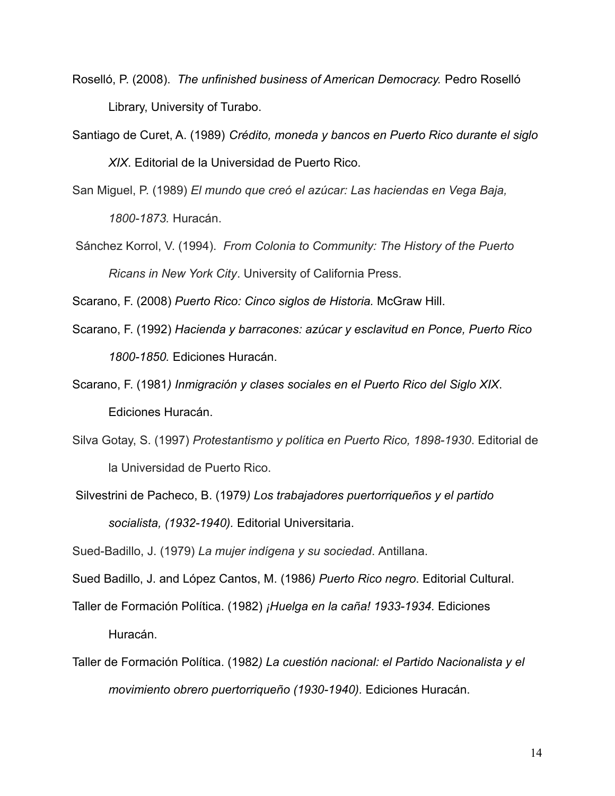- Roselló, P. (2008). *The unfinished business of American Democracy.* Pedro Roselló Library, University of Turabo.
- Santiago de Curet, A. (1989) *Crédito, moneda y bancos en Puerto Rico durante el siglo XIX*. Editorial de la Universidad de Puerto Rico.
- San Miguel, P. (1989) *El mundo que creó el azúcar: Las haciendas en Vega Baja,*

*1800-1873.* Huracán.

Sánchez Korrol, V. (1994). *From Colonia to Community: The History of the Puerto Ricans in New York City*. University of California Press.

Scarano, F. (2008) *Puerto Rico: Cinco siglos de Historia.* McGraw Hill.

- Scarano, F. (1992) *Hacienda y barracones: azúcar y esclavitud en Ponce, Puerto Rico 1800-1850.* Ediciones Huracán.
- Scarano, F. (1981*) Inmigración y clases sociales en el Puerto Rico del Siglo XIX*. Ediciones Huracán.
- Silva Gotay, S. (1997) *Protestantismo y política en Puerto Rico, 1898-1930*. Editorial de la Universidad de Puerto Rico.
- Silvestrini de Pacheco, B. (1979*) Los trabajadores puertorriqueños y el partido socialista, (1932-1940).* Editorial Universitaria.

Sued-Badillo, J. (1979) *La mujer indígena y su sociedad*. Antillana.

Sued Badillo, J. and López Cantos, M. (1986*) Puerto Rico negro*. Editorial Cultural.

Taller de Formación Política. (1982) *¡Huelga en la caña! 1933-1934.* Ediciones Huracán.

Taller de Formación Política. (1982*) La cuestión nacional: el Partido Nacionalista y el movimiento obrero puertorriqueño (1930-1940).* Ediciones Huracán.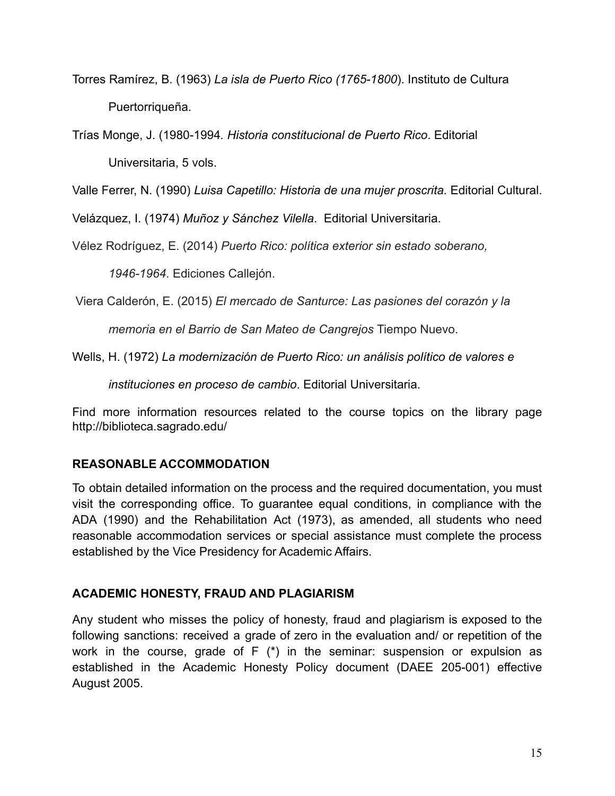Torres Ramírez, B. (1963) *La isla de Puerto Rico (1765-1800*). Instituto de Cultura Puertorriqueña.

Trías Monge, J. (1980-1994*. Historia constitucional de Puerto Rico*. Editorial Universitaria, 5 vols.

Valle Ferrer, N. (1990) *Luisa Capetillo: Historia de una mujer proscrita.* Editorial Cultural.

Velázquez, I. (1974) *Muñoz y Sánchez Vilella*. Editorial Universitaria.

Vélez Rodríguez, E. (2014) *Puerto Rico: política exterior sin estado soberano,*

*1946-1964*. Ediciones Callejón.

Viera Calderón, E. (2015) *El mercado de Santurce: Las pasiones del corazón y la*

*memoria en el Barrio de San Mateo de Cangrejos* Tiempo Nuevo.

Wells, H. (1972) *La modernización de Puerto Rico: un análisis político de valores e*

*instituciones en proceso de cambio*. Editorial Universitaria.

Find more information resources related to the course topics on the library page http://biblioteca.sagrado.edu/

# **REASONABLE ACCOMMODATION**

To obtain detailed information on the process and the required documentation, you must visit the corresponding office. To guarantee equal conditions, in compliance with the ADA (1990) and the Rehabilitation Act (1973), as amended, all students who need reasonable accommodation services or special assistance must complete the process established by the Vice Presidency for Academic Affairs.

# **ACADEMIC HONESTY, FRAUD AND PLAGIARISM**

Any student who misses the policy of honesty, fraud and plagiarism is exposed to the following sanctions: received a grade of zero in the evaluation and/ or repetition of the work in the course, grade of F (\*) in the seminar: suspension or expulsion as established in the Academic Honesty Policy document (DAEE 205-001) effective August 2005.